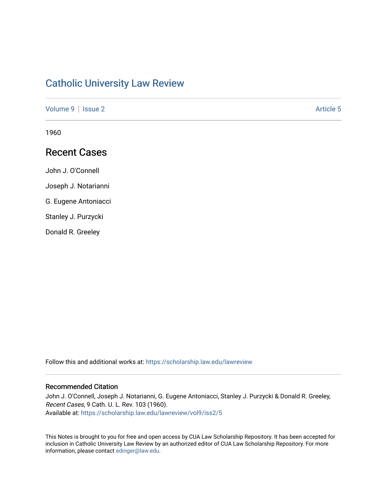# [Catholic University Law Review](https://scholarship.law.edu/lawreview)

[Volume 9](https://scholarship.law.edu/lawreview/vol9) | [Issue 2](https://scholarship.law.edu/lawreview/vol9/iss2) Article 5

1960

# Recent Cases

John J. O'Connell

Joseph J. Notarianni

G. Eugene Antoniacci

Stanley J. Purzycki

Donald R. Greeley

Follow this and additional works at: [https://scholarship.law.edu/lawreview](https://scholarship.law.edu/lawreview?utm_source=scholarship.law.edu%2Flawreview%2Fvol9%2Fiss2%2F5&utm_medium=PDF&utm_campaign=PDFCoverPages)

## Recommended Citation

John J. O'Connell, Joseph J. Notarianni, G. Eugene Antoniacci, Stanley J. Purzycki & Donald R. Greeley, Recent Cases, 9 Cath. U. L. Rev. 103 (1960). Available at: [https://scholarship.law.edu/lawreview/vol9/iss2/5](https://scholarship.law.edu/lawreview/vol9/iss2/5?utm_source=scholarship.law.edu%2Flawreview%2Fvol9%2Fiss2%2F5&utm_medium=PDF&utm_campaign=PDFCoverPages) 

This Notes is brought to you for free and open access by CUA Law Scholarship Repository. It has been accepted for inclusion in Catholic University Law Review by an authorized editor of CUA Law Scholarship Repository. For more information, please contact [edinger@law.edu.](mailto:edinger@law.edu)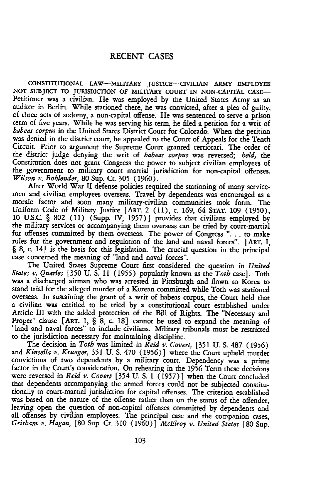### **RECENT CASES**

**CONSTITUTIONAL** LAW-MILITARY JUSTICE--CIVILIAN ARMY **EMPLOYEE** NOT SUBJECT TO JURISDICTION OF MILITARY COURT IN NON-CAPITAL CASE-Petitioner was a civilian. He was employed **by** the United States Army as an auditor in Berlin. While stationed there, he was convicted, after a plea of guilty, of three acts of sodomy, a non-capital offense. He was sentenced to serve a prison term of five years. While he was serving his term, he filed a petition for a writ of *habeas corpus* in the United States District Court for Colorado. When the petition was denied in the district court, he appealed to the Court of Appeals for the Tenth Circuit. Prior to argument the Supreme Court granted certiorari. The order of the district judge denying the writ of *habeas corpus* was reversed; *held,* the Constitution does not grant Congress the power to subject civilian employees of the government to military court martial jurisdiction for non-capital offenses.

*Wilson v. Bohlender, 80 Sup. Ct. 305 (1960).* After World War II defense policies required the stationing of many servicemen and civilian employees overseas. Travel by dependents was encouraged as a morale factor and soon many military-civilian communities took form. The Uniform Code of Military Justice [ART. 2 (11), c. 169, 64 **STAT.** 109 (1950), 10 U.S.C. § **802** (11) (Supp. IV, 1957)] provides that civilians employed by the military services or accompanying them overseas can be tried by court-martial for offenses committed by them overseas. The power of Congress ". **. .** to make rules for the government and regulation of the land and naval forces". [ART. I, § 8, c. **14]** is the basis for this legislation. The crucial question in the principal case concerned the meaning of "land and naval forces".

The United States Supreme Court first considered the question in *United States v. Quarles* **[350 U. S.** 11 (1955) popularly known as the *Toth* case]. Toth was a discharged airman who was arrested in Pittsburgh and flown to Korea to stand trial for the alleged murder of a Korean committed while Toth was stationed overseas. In sustaining the grant of a writ of habeas corpus, the Court held that a civilian was entitled to be tried by a constitutional court established under Article III with the added protection of the Bill of Rights. The "Necessary and Proper" clause [ART. **1,** § 8, c. **18]** cannot be used to expand the meaning of "land and naval forces" to include civilians. Military tribunals must be restricted to the jurisdiction necessary for maintaining discipline.

The decision in *Toth* was limited in *Reid* v. *Covert,* [351 U. **S. 487** (1956) and *Kinsella v. Krueger,* 351 **U. S.** 470 **(1956)]** where the Court upheld murder convictions of two dependents by a military court. Dependency was a prime factor in the Court's consideration. On rehearing in the **1956** Term these decisions were reversed in *Reid v. Covert* [354 U. S. 1 (1957)] when the Court concluded that dependents accompanying the armed forces could not be subjected constitutionally to court-martial jurisdiction for capital offenses. The criterion established was based on the nature of the offense rather than on the status of the offender, leaving open the question of non-capital offenses committed by dependents and all offenses by civilian employees. The principal case and the companion cases, *Grisham v. Hagan,* **[80** Sup. Ct. **310** (1960)] *McElroy v. United States* **[80** Sup.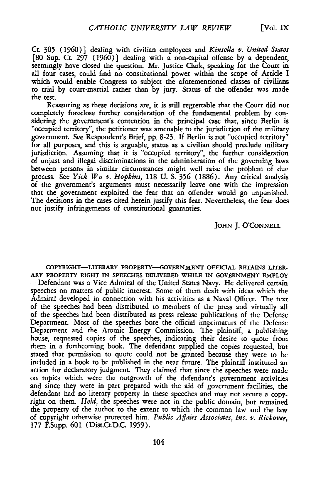Ct. 305 **(1960)]** dealing with civilian employees and *Kinsella v. United States* **[80** Sup. Ct. **297 (1960)]** dealing with a non-capital offense by a dependent, seemingly have closed the question. Mr. Justice Clark, speaking for the Court in all four cases, could find no constitutional power within the scope of Article I which would enable Congress to subject the aforementioned classes of civilians to trial by court-martial rather than by jury. Status of the offender was made the test.

Reassuring as these decisions are, it is still regrettable that the Court did not completely foreclose further consideration of the fundamental problem by considering the government's contention in the principal case that, since Berlin is "occupied territory", the petitioner was amenable to the jurisdiction of the military government. See Respondent's Brief, pp. 8-23. If Berlin is not "occupied territory" for all purposes, and this is arguable, status as a civilian should preclude military jurisdiction. Assuming that it is "occupied territory", the further consideration of unjust and illegal discriminations in the administration of the governing laws between persons in similar circumstances might well raise the problem of due process. See *Yick Wo v. Hopkins,* 118 **U.** S. **356** (1886). Any critical analysis of the government's arguments must necessarily leave one with the impression that the government exploited the fear that an offender would go unpunished. The decisions in the cases cited herein justify this fear. Nevertheless, the fear does not justify infringements of constitutional guaranties.

### JOHN J. O'CONNELL

COPYRIGHT-LITERARY PROPERTY--GOVERNMENT **OFFICIAL RETAINS** LITER-ARY PROPERTY RIGHT IN **SPEECHES** DELIVERED WHILE IN GOVERNMENT EMPLOY -Defendant was a Vice Admiral of the United States Navy. He delivered certain speeches on matters of public interest. Some of them dealt with ideas which the Admiral developed in connection with his activities as a Naval Officer. The text of the speeches had been distributed to members of the press and virtually all of the speeches had been distributed as press release publications of the Defense Department. Most of the speeches bore the official imprimaturs of the Defense Department and the Atomic Energy Commission. The plaintiff, a publishing house, requested copies of the speeches, indicating their desire to quote from them in a forthcoming book. The defendant supplied the copies requested, but stated that permission to quote could not be granted because they were to be included in a book to be published in the near future. The plaintiff instituted an action for declaratory judgment. They claimed that since the speeches were made on topics which were the outgrowth of the defendant's government activities and since they were in part prepared with the aid of government facilities, the defendant had no literary property in these speeches and may not secure a copyright on them. *Held,* the speeches were not in the public domain, but remained the property of the author to the extent to which the common law and the law of copyright otherwise protected him. *Public Affairs Associates, Inc. v. Rickover,* 177 F.Supp. **601** (Dist.Ct.D.C. 1959).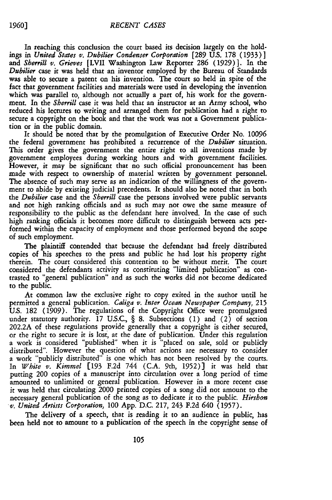In reaching this conclusion the court based its decision largely on the holdings in *United States v. Dubilier Condenser Corporation* [289 U.S. 178 (1933) **]** and *Sherrill v. Grieves* [LVII Washington Law Reporter **286** (1929)]. In the *Dubilier* case it was held that an inventor employed by the Bureau of Standards was able to secure a patent on his invention. The court so held in spite of the fact that government facilities and materials were used in developing the invention which was parallel to, although not actually a part of, his work for the government. In the *Sherrill* case it was held that an instructor at an Army school, who reduced his lectures to writing and arranged them for publication had a right to secure a copyright on the book and that the work was not a Government publication or in the public domain.

It should be noted that by the promulgation of Executive Order No. 10096 the federal government has prohibited a recurrence of the *Dubiier* situation. This order gives the government the entire right to all inventions made by government employees during working hours and with government facilities. However, it may be significant that no such official pronouncement has been made with respect to ownership of material written by government personnel. The absence of such may serve as an indication of the willingness of the government to abide by existing judicial precedents. It should also be noted that in both the *Dubilier* case and the *Sherrill* case the persons involved were public servants and not high ranking officials and as such may not owe the same measure of responsibility to the public as the defendant here involved. In the case of such high ranking officials it becomes more difficult to distinguish between acts performed within the capacity of employment and those performed beyond the scope of such employment.

The plaintiff contended that because the defendant had freely distributed copies of his speeches to the press and public he had lost his property right therein. The court considered this contention to be without merit. The court considered the defendants activity as constituting "limited publication" as contrasted to "general publication" and as such the works did not become dedicated to the public.

At common law the exclusive right to copy exited in the author until he permitted a general publication. *Caliga v. Inter Ocean Newspaper Company,* 215 U.S. 182 (1909). The regulations of the Copyright Office were promulgated under statutory authority. 17 U.S.C., § 8. Subsections (1) and (2) of section 202.2A of these regulations provide generally that a copyright is either secured, or the right to secure it is lost, at the date of publication. Under this regulation a work is considered "published" when it is "placed on sale, sold or publicly distributed". However the question of what actions are necessary to consider a work "publicly distributed" is one which has not been resolved by the courts. In *White v. Kimmel* [193 F.2d 744 (C.A. 9th, 1952)] it was held that putting 200 copies of a manuscript into circulation over a long period of time amounted to unlimited or general publication. However in a more recent case it was held that circulating 2000 printed copies of a song did not amount to the necessary general publication of the song as to dedicate it to the public. *Hirshon v. United Artists Corporation,* 100 App. D.C. 217, 243 F.2d 640 (1957).

The delivery of a speech, that is reading it to an audience in public, has been held not to amount to a publication of the speech in the copyright sense of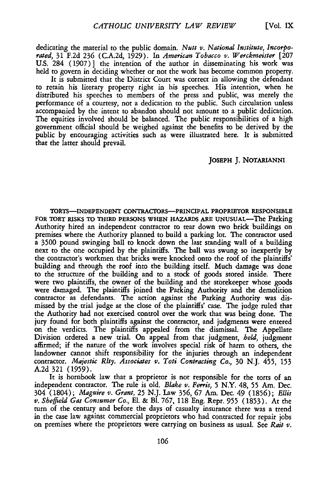dedicating the material to the public domain. *Nutt v. National Institute, Incorporated,* 31 F.2d **236** (C.A.2d, 1929). In *American Tobacco v. Werckmeister* [207 U.S. 284 (1907)] the intention of the author in disseminating his work was held to govern in deciding whether or not the work has become common property.

It is submitted that the District Court was correct in allowing the defendant to retain his literary property right in his speeches. His intention, when he distributed his speeches to members of the press and public, was merely the performance of a courtesy, not a dedication to the public. Such circulation unless accompanied by the intent to abandon should not amount to a public dedication. The equities involved should be balanced. The public responsibilities of a high government official should be weighed against the benefits to be derived by the public by encouraging activities such as were illustrated here. It is submitted that the latter should prevail.

#### **JOSEPH** J. NOTARIANNI

TORTS-INDEPENDENT CONTRACTORS-PRINCIPAL PROPRIETOR **RESPONSIBLE** FOR **TORT** RISKS TO THIRD **PERSONS WHEN HAZARDS ARE** UNUSUAL-The Parking Authority hired an independent contractor to tear down two brick buildings on premises where the Authority planned to build a parking lot. The contractor used a 3500 pound swinging ball to knock down the last standing wall of a building next to the one occupied **by** the plaintiffs. The ball was swung so inexpertly by the contractor's workmen that bricks were knocked onto the roof of the plaintiffs' building and through the roof into the building itself. Much damage was done to the structure of the building and to a stock of goods stored inside. There were two plaintiffs, the owner of the building and the storekeeper whose goods were damaged. The plaintiffs joined the Parking Authority and the demolition contractor as defendants. The action against the Parking Authority was dismissed by the trial judge at the close of the plaintiffs' case. The judge ruled that the Authority had not exercised control over the work that was being done. The jury found for both plaintiffs against the contractor, and judgments were entered on the verdicts. The plaintiffs appealed from the dismissal. The Appellate Division ordered a new trial. On appeal from that judgment, *held,* judgment affirmed; if the nature of the work involves special risk of harm to others, the landowner cannot shift responsibility for the injuries through an independent contractor. *Majestic Rlty. Associates v. Toti Contracting Co.,* 30 N.J. 455, 153 A.2d 321 (1959).

It is hornbook law that a proprietor is not responsible for the torts of an independent contractor. The rule is old. *Blake v. Ferris,* 5 N.Y. 48, **55** Am. Dec. 304 (1804); *Maguire v. Grant,* **25** N.J. Law **356, 67** Am. Dec. 49 (1856); *Ellis v. Sheffield Gas Consumer Co.,* El. & Bl. **767,** 118 Eng. Repr. **955** (1853). At the turn of the century and before the days of casualty insurance there was a trend in the case law against commercial proprietors who had contracted for repair jobs on premises where the proprietors were carrying on business as usual. See *Rait v.*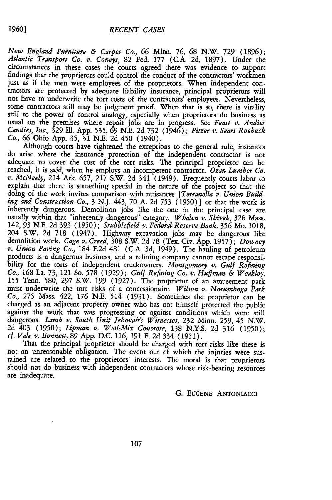*New England Furniture & Carpet Co.,* **66** Minn. **76, 68** N.W. **729** (1896); *Atlantic Transport Co. v. Coneys,* 82 Fed. 177 (C.A. **2d,** 1897). Under the circumstances in these cases the courts agreed there was evidence to support findings that the proprietors could control the conduct of the contractors' workmen just as if the men were employees of the proprietors. When independent contractors are protected by adequate liability insurance, principal proprietors will not have to underwrite the tort costs of the contractors' employees. Nevertheless, some contractors still may be judgment proof. When that is so, there is vitality still to the power of control analogy, especially when proprietors do business as usual on the premises where repair jobs are in progress. See *Feast v. Andies Candies, Inc.,* **329** Ill. App. 535, **69** N.E. 2d 732 (1946); *Pitzer v. Sears Roebuck Co.,* **66** Ohio App. **35,** 31 N.E. 2d 450 (1940).

Although courts have tightened the exceptions to the general rule, instances do arise where the insurance protection of the independent contractor is not adequate to cover the cost of the tort risks. The principal proprietor can be reached, it is said, when he employs an incompetent contractor. *Ozan Lumber Co. v. McNeely,* 214 Ark. 657, 217 S.W. 2d 341 (1949). Frequently courts labor to explain that there is something special in the nature of the project so that the doing of the work invites comparison with nuisances *[Terranella v. Union Building and Construction Co.,* 3 N.J. 443, 70 A. 2d 753 (1950)] or that the work is inherently dangerous. Demolition jobs like the one in the principal case are usually within that "inherently dangerous" category. *Whalen v. Shivek,* **326** Mass. 142, 93 N.E. 2d **393** (1950); *Stubblefield v. Federal Reserve Bank,* **356** Mo. 1018, 204 S.W. 2d 718 (1947). Highway excavation jobs may be dangerous like demolition work. *Cage v. Creed,* 308 S.W. 2d 78 (Tex. Civ. App. 1957); *Downey* v. Union Paving Co., 184 F.2d 481 (C.A. 3d, 1949). The hauling of petroleum products is a dangerous business, and a refining company cannot escape responsibility for the torts of independent truckowners. Montgomery v. Gul 155 Tenn. 580, 297 S.W. 199 (1927). The proprietor of an amusement park must underwrite the tort risks of a concessionaire. *Wilson v. Norumbega Park Co.,* 275 Mass. 422, **176** N.E. 514 (1931). Sometimes the proprietor can be charged as an adjacent property owner who has not himself protected the public against the work that was progressing or against conditions which were still dangerous. *Lamb v. South Unit Jehovah's Witnesses,* 232 Minn. 259, 45 N.W. 2d 403 (1950); *Lipman v. Well-Mix Concrete,* 138 N.Y.S. 2d **316** (1950); *cf. Vale v. Bonnett,* 89 App. D.C. 116, 191 F. 2d 334 (1951).

That the principal proprietor should be charged with tort risks like these is not an unreasonable obligation. The event out of which the injuries were sustained are related to the proprietors' interests. The moral is that proprietors should not do business with independent contractors whose risk-bearing resources are inadequate.

### **G. EUGENE** ANTONIACCI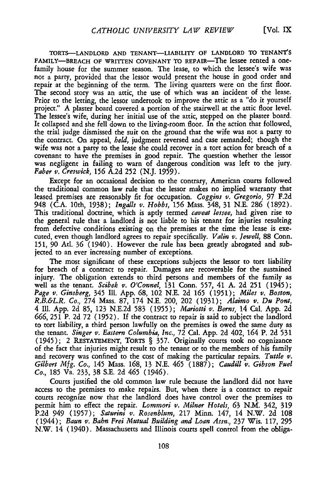TORTS-LANDLORD AND TENANT-LIABILITY OF LANDLORD TO TENANT'S FAMILY-BREACH OF WRITTEN COVENANT TO REPAIR-The lessee rented a onefamily house for the summer season. The lease, to which the lessee's wife was not a party, provided that the lessor would present the house in good order and repair at the beginning of the term. The living quarters were on the first floor. The second story was an attic, the use of which was an incident of the lease. Prior to the letting, the lessor undertook to improve the attic as a "do it yourself project." A plaster board covered a portion of the stairwell at the attic floor level. The lessee's wife, during her initial use of the attic, stepped on the plaster board. It collapsed and she fell down to the living-room floor. In the action that followed, the trial judge dismissed the suit on the ground that the wife was not a party to the contract. On appeal, *held,* judgment reversed and case remanded; though the wife was not a party to the lease she could recover in a tort action for breach of a covenant to have the premises in good repair. The question whether the lessor was negligent in failing to warn of dangerous condition was left to the jury. *Faber v. Creswick,* **156** A.2d 252 (N.J. 1959).

Except for an occasional decision to the contrary, American courts followed the traditional common law rule that the lessor makes no implied warranty that leased premises are reasonably fit for occupation. *Coggins v. Gregorio,* **97** F.2d 948 (C.A. 10th, 1938); *Ingalls v. Hobbs,* **156** Mass. 348, 31 N.E. **286** (1892). This traditional doctrine, which is aptly termed *caveat lessee,* had given rise to the general rule that a landlord is not liable to his tenant for injuries resulting from defective conditions existing on the premises at the time the lease is executed, even though landlord agrees to repair specifically. *Valin v. Jewell,* 88 Conn. 151, **90** At. **36** (1940). However the rule has been greatly abrogated and subjected to an ever increasing number of exceptions.

The most significant of these exceptions subjects the lessor to tort liability for breach of a contract to repair. Damages are recoverable for the sustained injury. The obligation extends to third persons and members of the family as well as the tenant. *Scibek v. O'Connel,* 131 Conn. **557,** 41 A. 2d 251 (1945); *Page v. Ginsberg,* 345 Il1. App. **68,** 102 N.E. 2d **165** (1951); *Miles v. Boston, R.B.&L.R. Co.,* 274 Mass. 87, 174 N.E. 200, 202 (1931); *Alaimo v. Du Pont,* 4 Ill. App. 2d 85, 123 N.E.2d 583 (1955); *Mariotti v. Berns,* 14 Cal. App. 2d **666,** 251 P. 2d 72 (1952). If the contract to repair is said to subject the landlord to tort liability, a third person lawfully on the premises is owed the same duty as the tenant. *Singer v. Eastern Columbia, Inc.,* 72 Cal. App. 2d 402, 164 P. 2d **531** (1945); 2 RESTATEMENT, TORTS § 357. Originally courts took no cognizance of the fact that injuries might result to the tenant or to the members of his family and recovery was confined to the cost of making the particular repairs. *Tuttle v. Gilbert Mfg. Co.,* 145 Mass. **168,** 13 N.E. 465 (1887); *Caudill v. Gibson Fuel Co.,* 185 Va. 233, 38 S.E. 2d 465 (1946).

Courts justified the old common law rule because the landlord did not have access to the premises to make repairs. But, when there is a contract to repair courts recognize now that the landlord does have control over the premises to permit him to effect the repair. *Lommori v. Milner Hotels,* **63** N.M. 342, **319** P.2d 949 (1957); *Saturini v. Rosenblum,* 217 Minn. 147, 14 N.W. 2d **108** (1944); *Baun v. Bahn Frei Mutual Building and Loan Assn.,* 237 Wis. 117, **295** N.W. 14 (1940). Massachusetts and Illinois courts spell control from the obliga-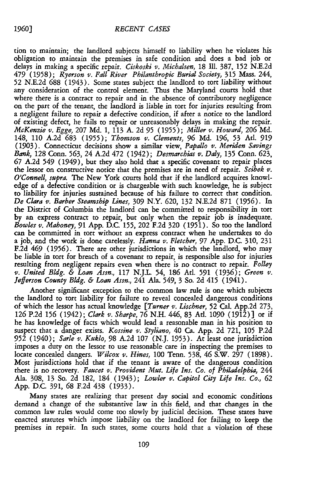tion to maintain; the landlord subjects himself to liability when he violates his obligation to maintain the premises in safe condition and does a bad job or delays in making a specific repair. *Ciskoski v. Michalsen,* 18 Ill. 387, 152 N.E.2d 479 (1958); *Ryerson v. Fall River Philanthropic Burial Society,* 315 Mass. 244, 52 N.E.2d **688** (1943). Some states subject the landlord to tort liability without any consideration of the control element. Thus the Maryland courts hold that where there is a contract to repair and in the absence of contributory negligence on the part of the tenant, the landlord is liable in tort for injuries resulting from a negligent failure to repair a defective condition, if after a notice to the landlord of existing defect, he fails to repair or unreasonably delays in making the repair. *McKenzie v. Egge,* 207 **Md.** 1, 113 A. 2d **95** (1955); *Miller v. Howard,* **206 Md.** 148, **110** A.2d **683** (1955); *Thomson v. Clements,* **96 Md. 196,** 53 At. 919 (1903). Connecticut decisions show a similar view, *Papallo v. Meriden Savings Bank,* 128 Conn. **563,** 24 A.2d 472 (1942); *Desmarchias v. Daly,* 135 Conn. 623, **67** A.2d 549 (1949), but they also hold that a specific covenant to repair places the lessor on constructive notice that the premises are in need of repair. *Scibek v. O'Connell, supra.* The New York courts hold that if the landlord acquires knowledge of a defective condition or is chargeable with such knowledge, he is subject to liability for injuries sustained because of his failure to correct that condition. *De Clara v. Barber Steamship Lines,* **309** N.Y. **620,** 132 N.E.2d 871 (1956). In the District of Columbia the landlord can be committed to responsibility in tort by an express contract to repair, but only when the repair **job** is inadequate. *Bowles v. Mahoney, 91* App. D.C. 155, 202 F.2d 320 (1951). So too the landlord can be committed in tort without an express contract when he undertakes to do a job, and the work is done carelessly. *Hanna v. Fletcher,* **97** App. D.C. 310, 231 F.2d 469 (1956). There are other jurisdictions in which the landlord, who may be liable in tort for breach of a covenant to repair, is responsible also for injuries resulting from negligent repairs even when there is no contract to repair. *Folley v. United Bldg. & Loan Assn.,* 117 N.J.L. 54, **186** At. **591 (1936);** *Green v. Jefferson County Bldg. & Loan Assn.,* 241 Ala. 549, 3 So. 2d 415 (1941).

Another significant exception to the common law rule is one which subjects the landlord to tort liability for failure to reveal concealed dangerous conditions of which the lessor has actual knowledge *[Turner v. Lischner,* 52 Cal. App.2d 273, **126** P.2d **156** (1942); *Clark v. Sharpe,* **76** N.H. 446, 83 Ad. 1090 (1912)] or if he has knowledge of facts which would lead a reasonable man in his position to suspect that a danger exists. *Kossine v. Styliano,* 40 Ca. App. 2d 721, 105 P.2d **952** (1940); *Sarle v. Kuklo,* 98 A.2d 107 (N.J. 1953). At least one jurisdiction imposes a duty on the lessor to use reasonable care in inspecting the premises to locate concealed dangers. *Wilcox v. Hines,* **100** Tenn. 538, 46 S.W. 297 (1898). Most jurisdictions hold that if the tenant is aware of the dangerous condition there is no recovery. *Faucet v. Provident Mut. Life Ins, Co. of Philadelphia,* 244 Ala. 308, 13 So. 2d 182, 184 (1943); *Lowler v. Capitol City Life Ins. Co.,* **62** App. D.C. 391, **68** F.2d 438 (1933).

Many states are realizing that present day social and economic conditions demand a change of the substantive law in this field, and that changes in the common law rules would come too slowly by judicial decision. These states have enacted statutes which impose liability on the landlord for failing to keep the premises in repair. In such states, some courts hold that a violation of these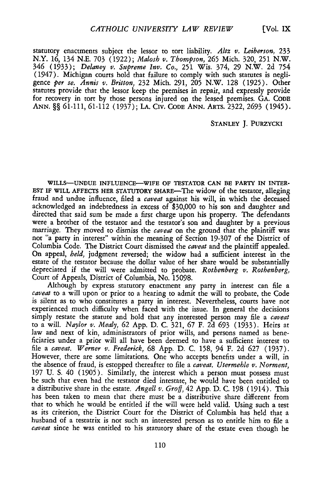statutory enactments subject the lessor to tort liability. *Altz v. Leiberson,* 233 N.Y. **16,** 134 N.E. 703 (1922); *Malosh v. Thompson,* **265** Mich. 320, 251 N.W. 346 (1933); *Delaney v. Supreme Inv. Co.,* 251 Wis. 374, 29 N.W. 2d 754 (1947). Michigan courts hold that failure to comply with such statutes is negligence *per se. Annis v. Britton,* 232 Mich. 291, 205 N.W. 128 (1925). Other statutes provide that the lessor keep the premises in repair, and expressly provide for recovery in tort by those persons injured on the leased premises. GA. CODE ANN. §§ 61-111, 61-112 (1937); **LA.** CIv. **CODE ANN.** ARTS. 2322, 2693 (1945).

#### **STANLEY J.** PURZYCKI

**WILLS-UNDUE INFLUENCE-WIFE** OF TESTATOR **CAN** BE PARTY **IN** INTER-**EST** IF WILL **AFFECTS** HER STATUTORY SHARE-The widow of the testator, alleging fraud and undue influence, filed a *caveat* against his will, in which the deceased acknowledged an indebtedness in excess of \$30,000 to his son and daughter and directed that said sum be made a first charge upon his property. The defendants were a brother of the testator and the testator's son and daughter by a previous marriage. They moved to dismiss the *caveat* on the ground that the plaintiff was not "a party in interest" within the meaning of Section 19-307 of the District of Columbia Code. The District Court dismissed the *caveat* and the plaintiff appealed. On appeal, *held*, judgment reversed; the widow had a sufficient interest in the estate of the testator because the dollar value of her share would be substantially depreciated if the will were admitted to probate. *Rothenberg v. Rothenberg*, Court of Appeals, District of Columbia, No. 15098.

Although by express statutory enactment any party in interest can file a *caveat* to a will upon or prior to a hearing to admit the will to probate, the Code is silent as to who constitutes a party in interest. Nevertheless, courts have not experienced much difficulty when faced with the issue. In general the decisions simply restate the statute and hold that any interested person may file a *caveat* to a will. *Naylor v. Mealy,* **62** App. D. C. 321, **67** F. 2d **693** (1933). Heirs at law and next of kin, administrators of prior wills, and persons named as beneficiaries under a prior will all have been deemed to have a sufficient interest to file a *caveat. Werner v. Frederick,* **68** App. D. C. 158, 94 F. 2d 627 (1937). However, there are some limitations. One who accepts benefits under a will, in the absence of fraud, is estopped thereafter to file a *caveat. Utermehle v. Norment,* 197 **U.** S. 40 (1905). Similarly, the interest which a person must possess must be such that even had the testator died intestate, he would have been entitled to a distributive share in the estate. *Angell v. Groff,* 42 App. D. C. 198 (1914). This has been taken to mean that there must be a distributive share different from that to which he would be entitled if the will were held valid. Using such a test as its criterion, the District Court for the District of Columbia has held that a husband of a testatrix is not such an interested person as to entitle him to file a *caveat* since he was entitled to his statutory share of the estate even though he